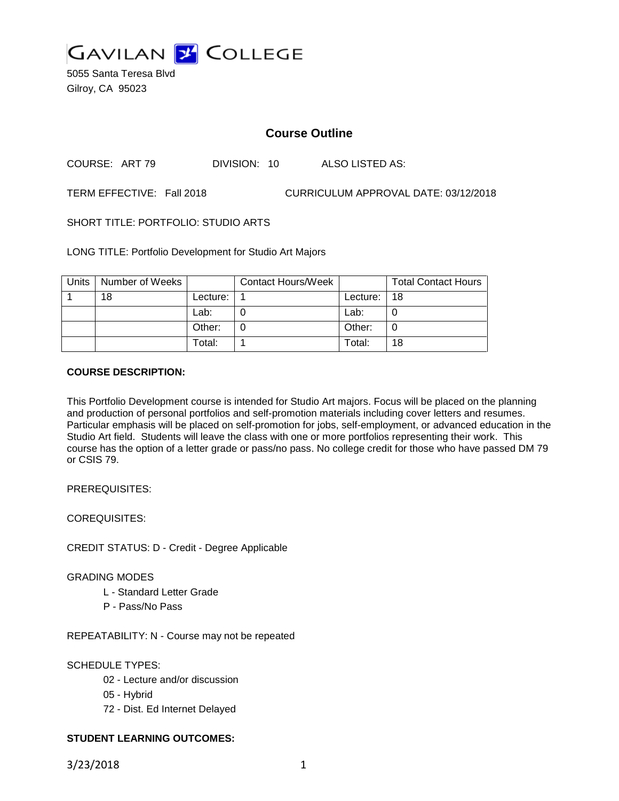

5055 Santa Teresa Blvd Gilroy, CA 95023

## **Course Outline**

COURSE: ART 79 DIVISION: 10 ALSO LISTED AS:

TERM EFFECTIVE: Fall 2018 CURRICULUM APPROVAL DATE: 03/12/2018

SHORT TITLE: PORTFOLIO: STUDIO ARTS

LONG TITLE: Portfolio Development for Studio Art Majors

| Units | Number of Weeks |          | <b>Contact Hours/Week</b> |          | <b>Total Contact Hours</b> |
|-------|-----------------|----------|---------------------------|----------|----------------------------|
|       | 18              | Lecture: |                           | Lecture: | 18                         |
|       |                 | Lab:     |                           | Lab:     |                            |
|       |                 | Other:   |                           | Other:   | O                          |
|       |                 | Total:   |                           | Total:   | 18                         |

#### **COURSE DESCRIPTION:**

This Portfolio Development course is intended for Studio Art majors. Focus will be placed on the planning and production of personal portfolios and self-promotion materials including cover letters and resumes. Particular emphasis will be placed on self-promotion for jobs, self-employment, or advanced education in the Studio Art field. Students will leave the class with one or more portfolios representing their work. This course has the option of a letter grade or pass/no pass. No college credit for those who have passed DM 79 or CSIS 79.

PREREQUISITES:

COREQUISITES:

CREDIT STATUS: D - Credit - Degree Applicable

#### GRADING MODES

- L Standard Letter Grade
- P Pass/No Pass

REPEATABILITY: N - Course may not be repeated

#### SCHEDULE TYPES:

- 02 Lecture and/or discussion
- 05 Hybrid
- 72 Dist. Ed Internet Delayed

### **STUDENT LEARNING OUTCOMES:**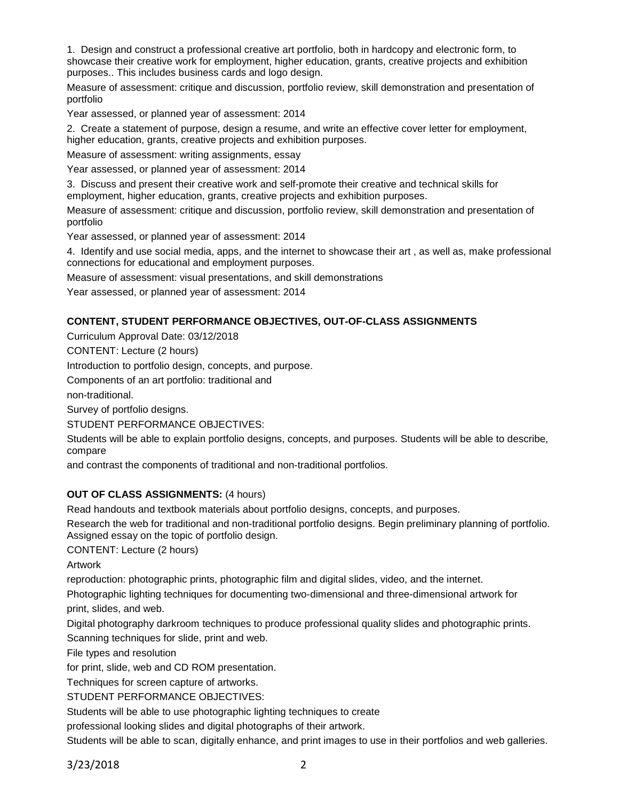1. Design and construct a professional creative art portfolio, both in hardcopy and electronic form, to showcase their creative work for employment, higher education, grants, creative projects and exhibition purposes.. This includes business cards and logo design.

Measure of assessment: critique and discussion, portfolio review, skill demonstration and presentation of portfolio

Year assessed, or planned year of assessment: 2014

2. Create a statement of purpose, design a resume, and write an effective cover letter for employment, higher education, grants, creative projects and exhibition purposes.

Measure of assessment: writing assignments, essay

Year assessed, or planned year of assessment: 2014

3. Discuss and present their creative work and self-promote their creative and technical skills for employment, higher education, grants, creative projects and exhibition purposes.

Measure of assessment: critique and discussion, portfolio review, skill demonstration and presentation of portfolio

Year assessed, or planned year of assessment: 2014

4. Identify and use social media, apps, and the internet to showcase their art , as well as, make professional connections for educational and employment purposes.

Measure of assessment: visual presentations, and skill demonstrations

Year assessed, or planned year of assessment: 2014

### **CONTENT, STUDENT PERFORMANCE OBJECTIVES, OUT-OF-CLASS ASSIGNMENTS**

Curriculum Approval Date: 03/12/2018

CONTENT: Lecture (2 hours)

Introduction to portfolio design, concepts, and purpose.

Components of an art portfolio: traditional and

non-traditional.

Survey of portfolio designs.

STUDENT PERFORMANCE OBJECTIVES:

Students will be able to explain portfolio designs, concepts, and purposes. Students will be able to describe, compare

and contrast the components of traditional and non-traditional portfolios.

### **OUT OF CLASS ASSIGNMENTS:** (4 hours)

Read handouts and textbook materials about portfolio designs, concepts, and purposes.

Research the web for traditional and non-traditional portfolio designs. Begin preliminary planning of portfolio. Assigned essay on the topic of portfolio design.

CONTENT: Lecture (2 hours)

Artwork

reproduction: photographic prints, photographic film and digital slides, video, and the internet.

Photographic lighting techniques for documenting two-dimensional and three-dimensional artwork for print, slides, and web.

Digital photography darkroom techniques to produce professional quality slides and photographic prints. Scanning techniques for slide, print and web.

File types and resolution

for print, slide, web and CD ROM presentation.

Techniques for screen capture of artworks.

STUDENT PERFORMANCE OBJECTIVES:

Students will be able to use photographic lighting techniques to create

professional looking slides and digital photographs of their artwork.

Students will be able to scan, digitally enhance, and print images to use in their portfolios and web galleries.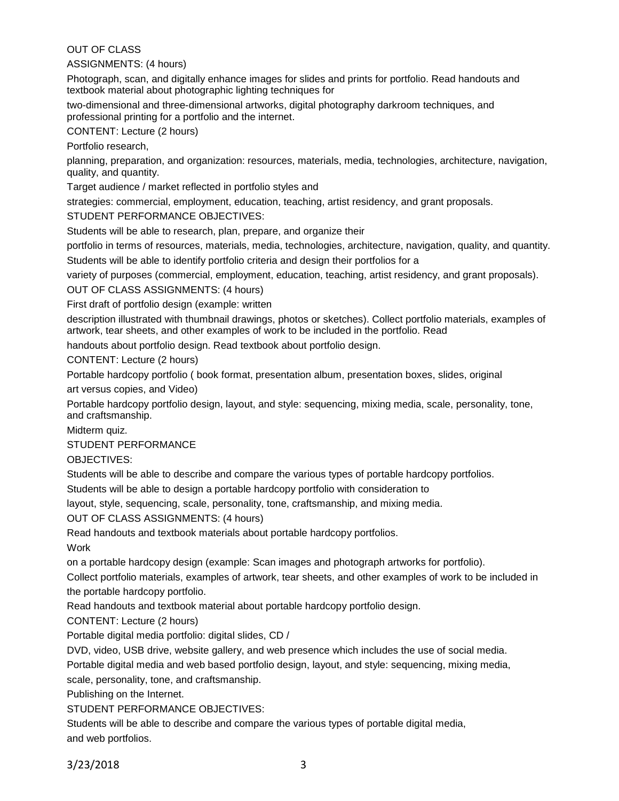OUT OF CLASS

ASSIGNMENTS: (4 hours)

Photograph, scan, and digitally enhance images for slides and prints for portfolio. Read handouts and textbook material about photographic lighting techniques for

two-dimensional and three-dimensional artworks, digital photography darkroom techniques, and professional printing for a portfolio and the internet.

CONTENT: Lecture (2 hours)

Portfolio research,

planning, preparation, and organization: resources, materials, media, technologies, architecture, navigation, quality, and quantity.

Target audience / market reflected in portfolio styles and

strategies: commercial, employment, education, teaching, artist residency, and grant proposals.

STUDENT PERFORMANCE OBJECTIVES:

Students will be able to research, plan, prepare, and organize their

portfolio in terms of resources, materials, media, technologies, architecture, navigation, quality, and quantity. Students will be able to identify portfolio criteria and design their portfolios for a

variety of purposes (commercial, employment, education, teaching, artist residency, and grant proposals).

OUT OF CLASS ASSIGNMENTS: (4 hours)

First draft of portfolio design (example: written

description illustrated with thumbnail drawings, photos or sketches). Collect portfolio materials, examples of artwork, tear sheets, and other examples of work to be included in the portfolio. Read

handouts about portfolio design. Read textbook about portfolio design.

CONTENT: Lecture (2 hours)

Portable hardcopy portfolio ( book format, presentation album, presentation boxes, slides, original

art versus copies, and Video)

Portable hardcopy portfolio design, layout, and style: sequencing, mixing media, scale, personality, tone, and craftsmanship.

Midterm quiz.

STUDENT PERFORMANCE

OBJECTIVES:

Students will be able to describe and compare the various types of portable hardcopy portfolios.

Students will be able to design a portable hardcopy portfolio with consideration to

layout, style, sequencing, scale, personality, tone, craftsmanship, and mixing media.

OUT OF CLASS ASSIGNMENTS: (4 hours)

Read handouts and textbook materials about portable hardcopy portfolios.

Work

on a portable hardcopy design (example: Scan images and photograph artworks for portfolio).

Collect portfolio materials, examples of artwork, tear sheets, and other examples of work to be included in the portable hardcopy portfolio.

Read handouts and textbook material about portable hardcopy portfolio design.

CONTENT: Lecture (2 hours)

Portable digital media portfolio: digital slides, CD /

DVD, video, USB drive, website gallery, and web presence which includes the use of social media.

Portable digital media and web based portfolio design, layout, and style: sequencing, mixing media,

scale, personality, tone, and craftsmanship.

Publishing on the Internet.

STUDENT PERFORMANCE OBJECTIVES:

Students will be able to describe and compare the various types of portable digital media, and web portfolios.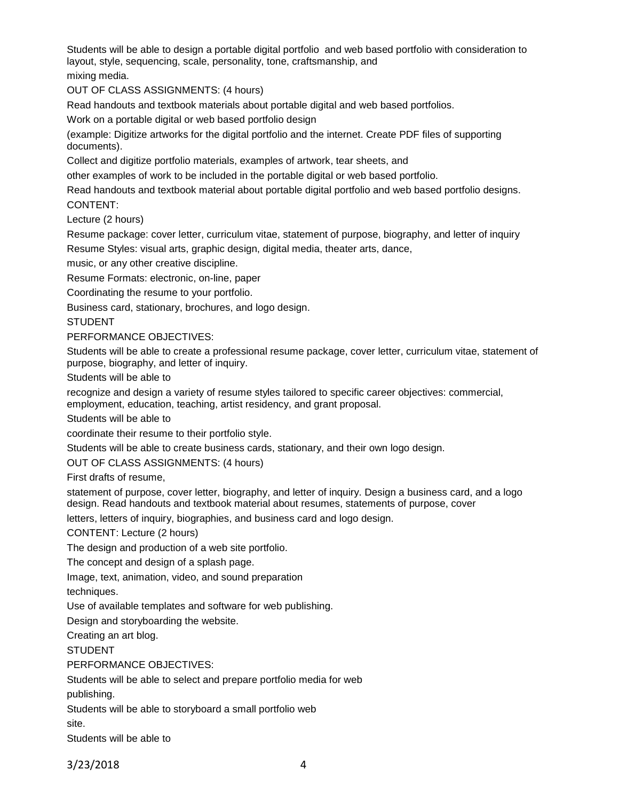Students will be able to design a portable digital portfolio and web based portfolio with consideration to layout, style, sequencing, scale, personality, tone, craftsmanship, and

mixing media.

OUT OF CLASS ASSIGNMENTS: (4 hours)

Read handouts and textbook materials about portable digital and web based portfolios.

Work on a portable digital or web based portfolio design

(example: Digitize artworks for the digital portfolio and the internet. Create PDF files of supporting documents).

Collect and digitize portfolio materials, examples of artwork, tear sheets, and

other examples of work to be included in the portable digital or web based portfolio.

Read handouts and textbook material about portable digital portfolio and web based portfolio designs. CONTENT:

Lecture (2 hours)

Resume package: cover letter, curriculum vitae, statement of purpose, biography, and letter of inquiry Resume Styles: visual arts, graphic design, digital media, theater arts, dance,

music, or any other creative discipline.

Resume Formats: electronic, on-line, paper

Coordinating the resume to your portfolio.

Business card, stationary, brochures, and logo design.

**STUDENT** 

PERFORMANCE OBJECTIVES:

Students will be able to create a professional resume package, cover letter, curriculum vitae, statement of purpose, biography, and letter of inquiry.

Students will be able to

recognize and design a variety of resume styles tailored to specific career objectives: commercial, employment, education, teaching, artist residency, and grant proposal.

Students will be able to

coordinate their resume to their portfolio style.

Students will be able to create business cards, stationary, and their own logo design.

OUT OF CLASS ASSIGNMENTS: (4 hours)

First drafts of resume,

statement of purpose, cover letter, biography, and letter of inquiry. Design a business card, and a logo design. Read handouts and textbook material about resumes, statements of purpose, cover

letters, letters of inquiry, biographies, and business card and logo design.

CONTENT: Lecture (2 hours)

The design and production of a web site portfolio.

The concept and design of a splash page.

Image, text, animation, video, and sound preparation

techniques.

Use of available templates and software for web publishing.

Design and storyboarding the website.

Creating an art blog.

**STUDENT** 

### PERFORMANCE OBJECTIVES:

Students will be able to select and prepare portfolio media for web

publishing.

Students will be able to storyboard a small portfolio web

site.

Students will be able to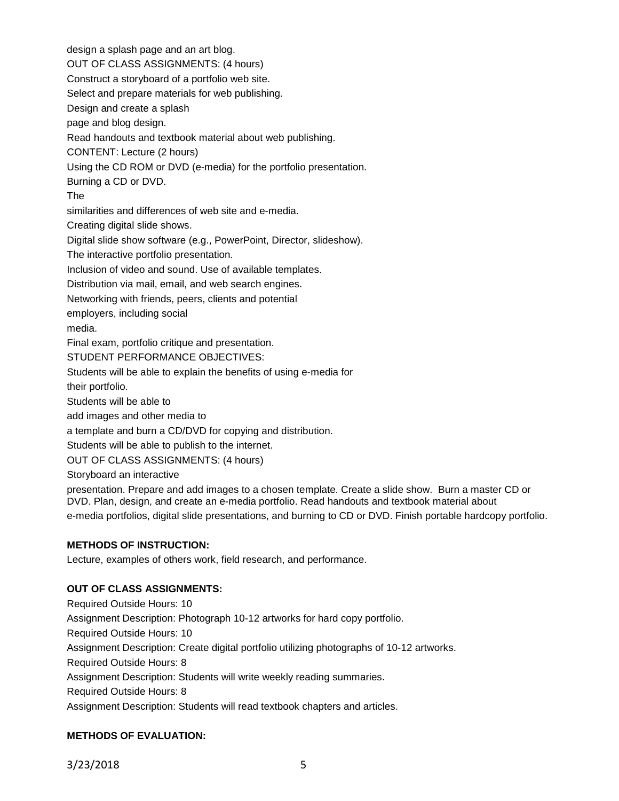design a splash page and an art blog. OUT OF CLASS ASSIGNMENTS: (4 hours) Construct a storyboard of a portfolio web site. Select and prepare materials for web publishing. Design and create a splash page and blog design. Read handouts and textbook material about web publishing. CONTENT: Lecture (2 hours) Using the CD ROM or DVD (e-media) for the portfolio presentation. Burning a CD or DVD. The similarities and differences of web site and e-media. Creating digital slide shows. Digital slide show software (e.g., PowerPoint, Director, slideshow). The interactive portfolio presentation. Inclusion of video and sound. Use of available templates. Distribution via mail, email, and web search engines. Networking with friends, peers, clients and potential employers, including social media. Final exam, portfolio critique and presentation. STUDENT PERFORMANCE OBJECTIVES: Students will be able to explain the benefits of using e-media for their portfolio. Students will be able to add images and other media to a template and burn a CD/DVD for copying and distribution. Students will be able to publish to the internet. OUT OF CLASS ASSIGNMENTS: (4 hours) Storyboard an interactive presentation. Prepare and add images to a chosen template. Create a slide show. Burn a master CD or DVD. Plan, design, and create an e-media portfolio. Read handouts and textbook material about

e-media portfolios, digital slide presentations, and burning to CD or DVD. Finish portable hardcopy portfolio.

# **METHODS OF INSTRUCTION:**

Lecture, examples of others work, field research, and performance.

## **OUT OF CLASS ASSIGNMENTS:**

Required Outside Hours: 10 Assignment Description: Photograph 10-12 artworks for hard copy portfolio. Required Outside Hours: 10 Assignment Description: Create digital portfolio utilizing photographs of 10-12 artworks. Required Outside Hours: 8 Assignment Description: Students will write weekly reading summaries. Required Outside Hours: 8 Assignment Description: Students will read textbook chapters and articles.

# **METHODS OF EVALUATION:**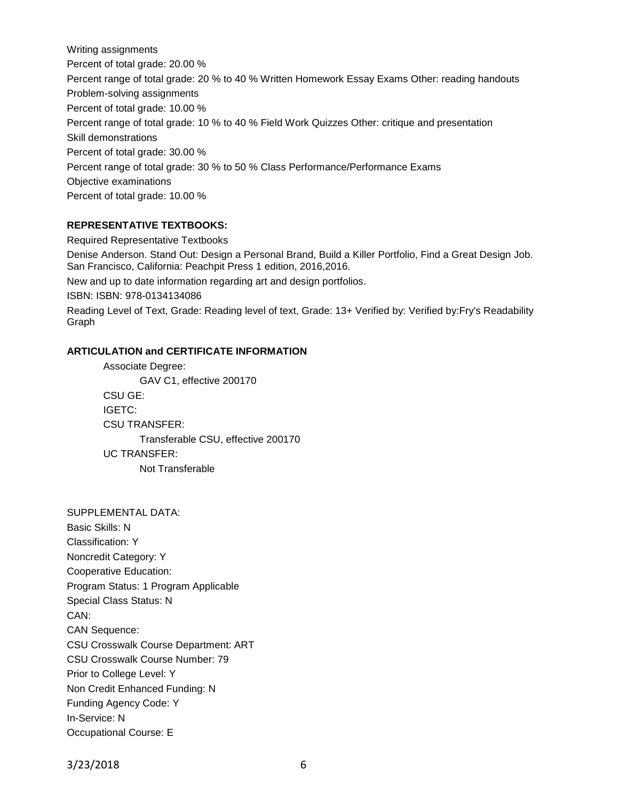Writing assignments Percent of total grade: 20.00 % Percent range of total grade: 20 % to 40 % Written Homework Essay Exams Other: reading handouts Problem-solving assignments Percent of total grade: 10.00 % Percent range of total grade: 10 % to 40 % Field Work Quizzes Other: critique and presentation Skill demonstrations Percent of total grade: 30.00 % Percent range of total grade: 30 % to 50 % Class Performance/Performance Exams Objective examinations Percent of total grade: 10.00 %

### **REPRESENTATIVE TEXTBOOKS:**

Required Representative Textbooks

Denise Anderson. Stand Out: Design a Personal Brand, Build a Killer Portfolio, Find a Great Design Job. San Francisco, California: Peachpit Press 1 edition, 2016,2016.

New and up to date information regarding art and design portfolios.

ISBN: ISBN: 978-0134134086

Reading Level of Text, Grade: Reading level of text, Grade: 13+ Verified by: Verified by:Fry's Readability Graph

### **ARTICULATION and CERTIFICATE INFORMATION**

Associate Degree: GAV C1, effective 200170 CSU GE: IGETC: CSU TRANSFER: Transferable CSU, effective 200170 UC TRANSFER: Not Transferable

SUPPLEMENTAL DATA: Basic Skills: N Classification: Y Noncredit Category: Y Cooperative Education: Program Status: 1 Program Applicable Special Class Status: N CAN: CAN Sequence: CSU Crosswalk Course Department: ART CSU Crosswalk Course Number: 79 Prior to College Level: Y Non Credit Enhanced Funding: N Funding Agency Code: Y In-Service: N Occupational Course: E